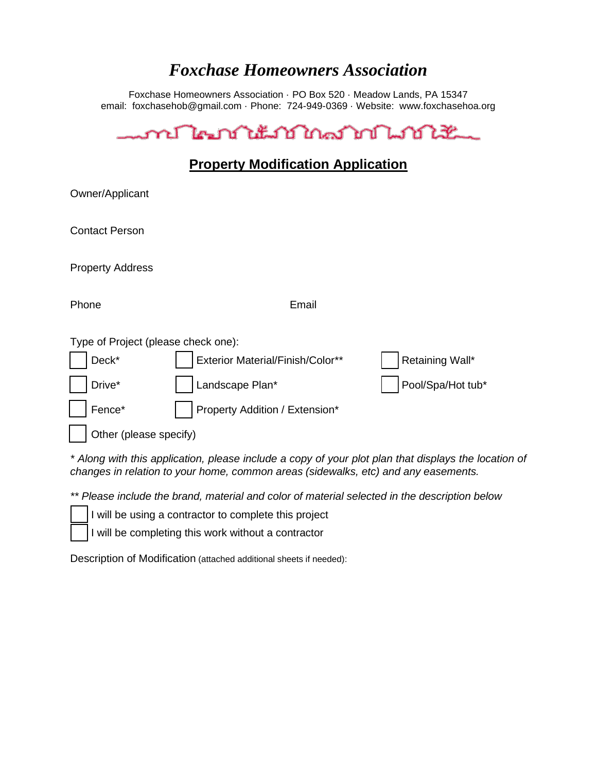## *Foxchase Homeowners Association*

Foxchase Homeowners Association · PO Box 520 · Meadow Lands, PA 15347 email: foxchasehob@gmail.com · Phone: 724-949-0369 · Website: www.foxchasehoa.org

| <u>ment le national de députation de la contextura de la contextura de la contextura de la contextura de la conte</u> |                                  |                   |
|-----------------------------------------------------------------------------------------------------------------------|----------------------------------|-------------------|
| <b>Property Modification Application</b>                                                                              |                                  |                   |
| Owner/Applicant                                                                                                       |                                  |                   |
| <b>Contact Person</b>                                                                                                 |                                  |                   |
| <b>Property Address</b>                                                                                               |                                  |                   |
| Phone                                                                                                                 | Email                            |                   |
| Type of Project (please check one):                                                                                   |                                  |                   |
| Deck*                                                                                                                 | Exterior Material/Finish/Color** | Retaining Wall*   |
| Drive*                                                                                                                | Landscape Plan*                  | Pool/Spa/Hot tub* |
| Fence*                                                                                                                | Property Addition / Extension*   |                   |
| Other (please specify)                                                                                                |                                  |                   |

*\* Along with this application, please include a copy of your plot plan that displays the location of changes in relation to your home, common areas (sidewalks, etc) and any easements.*

*\*\* Please include the brand, material and color of material selected in the description below*

I will be using a contractor to complete this project

I will be completing this work without a contractor

Description of Modification (attached additional sheets if needed):